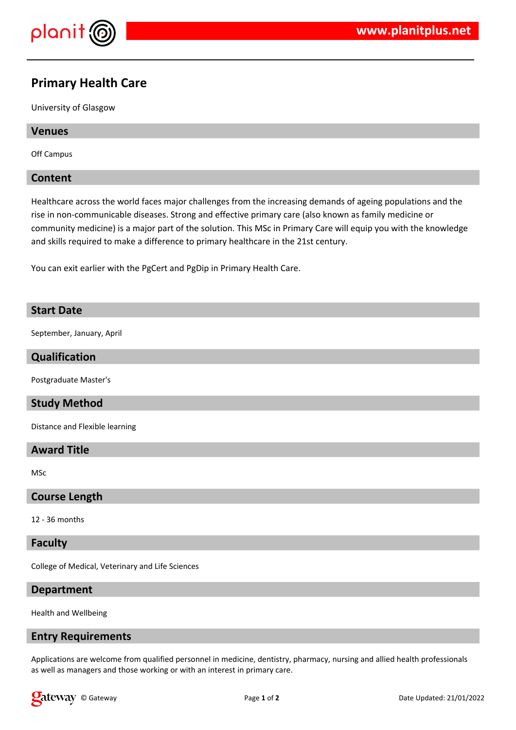

# **Primary Health Care**

University of Glasgow

## **Venues**

Off Campus

# **Content**

Healthcare across the world faces major challenges from the increasing demands of ageing populations and the rise in non-communicable diseases. Strong and effective primary care (also known as family medicine or community medicine) is a major part of the solution. This MSc in Primary Care will equip you with the knowledge and skills required to make a difference to primary healthcare in the 21st century.

You can exit earlier with the PgCert and PgDip in Primary Health Care.

# **Start Date**

September, January, April

# **Qualification**

Postgraduate Master's

# **Study Method**

Distance and Flexible learning

# **Award Title**

MSc

#### **Course Length**

12 - 36 months

#### **Faculty**

College of Medical, Veterinary and Life Sciences

#### **Department**

Health and Wellbeing

#### **Entry Requirements**

Applications are welcome from qualified personnel in medicine, dentistry, pharmacy, nursing and allied health professionals as well as managers and those working or with an interest in primary care.